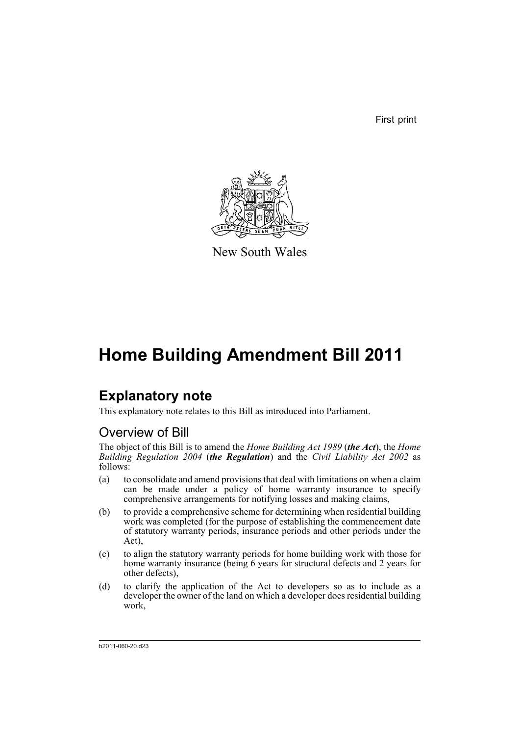First print



New South Wales

# **Home Building Amendment Bill 2011**

# **Explanatory note**

This explanatory note relates to this Bill as introduced into Parliament.

# Overview of Bill

The object of this Bill is to amend the *Home Building Act 1989* (*the Act*), the *Home Building Regulation 2004* (*the Regulation*) and the *Civil Liability Act 2002* as follows:

- (a) to consolidate and amend provisions that deal with limitations on when a claim can be made under a policy of home warranty insurance to specify comprehensive arrangements for notifying losses and making claims,
- (b) to provide a comprehensive scheme for determining when residential building work was completed (for the purpose of establishing the commencement date of statutory warranty periods, insurance periods and other periods under the Act),
- (c) to align the statutory warranty periods for home building work with those for home warranty insurance (being 6 years for structural defects and 2 years for other defects),
- (d) to clarify the application of the Act to developers so as to include as a developer the owner of the land on which a developer does residential building work,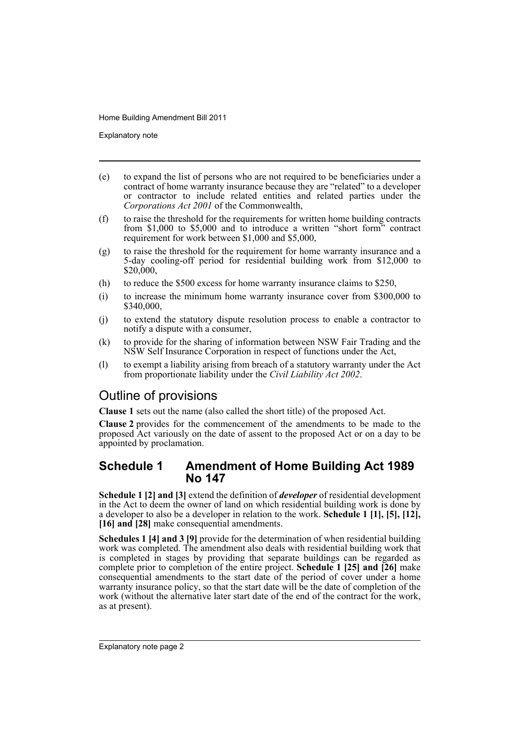Explanatory note

- (e) to expand the list of persons who are not required to be beneficiaries under a contract of home warranty insurance because they are "related" to a developer or contractor to include related entities and related parties under the *Corporations Act 2001* of the Commonwealth,
- (f) to raise the threshold for the requirements for written home building contracts from \$1,000 to \$5,000 and to introduce a written "short form" contract requirement for work between \$1,000 and \$5,000,
- (g) to raise the threshold for the requirement for home warranty insurance and a 5-day cooling-off period for residential building work from \$12,000 to \$20,000,
- (h) to reduce the \$500 excess for home warranty insurance claims to \$250,
- (i) to increase the minimum home warranty insurance cover from \$300,000 to \$340,000,
- (j) to extend the statutory dispute resolution process to enable a contractor to notify a dispute with a consumer,
- (k) to provide for the sharing of information between NSW Fair Trading and the NSW Self Insurance Corporation in respect of functions under the Act,
- (l) to exempt a liability arising from breach of a statutory warranty under the Act from proportionate liability under the *Civil Liability Act 2002*.

## Outline of provisions

**Clause 1** sets out the name (also called the short title) of the proposed Act.

**Clause 2** provides for the commencement of the amendments to be made to the proposed Act variously on the date of assent to the proposed Act or on a day to be appointed by proclamation.

## **Schedule 1 Amendment of Home Building Act 1989 No 147**

**Schedule 1 [2] and [3]** extend the definition of *developer* of residential development in the Act to deem the owner of land on which residential building work is done by a developer to also be a developer in relation to the work. **Schedule 1 [1], [5], [12],** [16] and [28] make consequential amendments.

**Schedules 1 [4] and 3 [9]** provide for the determination of when residential building work was completed. The amendment also deals with residential building work that is completed in stages by providing that separate buildings can be regarded as complete prior to completion of the entire project. **Schedule 1 [25] and [26]** make consequential amendments to the start date of the period of cover under a home warranty insurance policy, so that the start date will be the date of completion of the work (without the alternative later start date of the end of the contract for the work, as at present).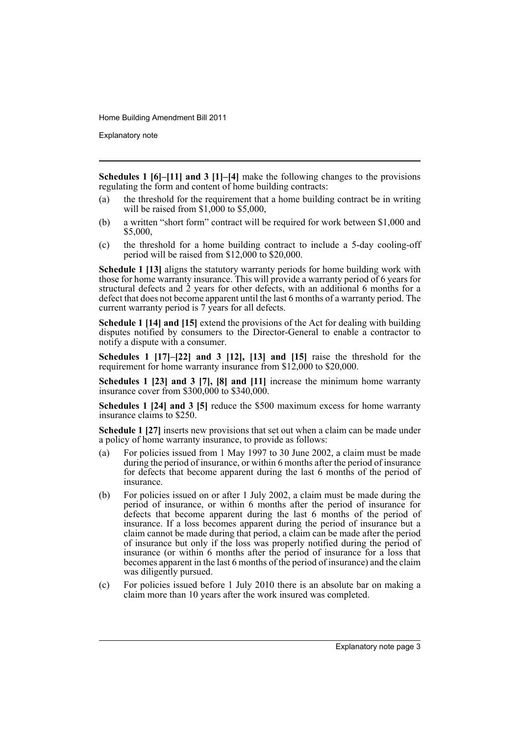Explanatory note

**Schedules 1 [6]–[11] and 3 [1]–[4]** make the following changes to the provisions regulating the form and content of home building contracts:

- (a) the threshold for the requirement that a home building contract be in writing will be raised from \$1,000 to \$5,000,
- (b) a written "short form" contract will be required for work between \$1,000 and \$5,000,
- (c) the threshold for a home building contract to include a 5-day cooling-off period will be raised from \$12,000 to \$20,000.

**Schedule 1 [13]** aligns the statutory warranty periods for home building work with those for home warranty insurance. This will provide a warranty period of 6 years for structural defects and  $\tilde{2}$  years for other defects, with an additional 6 months for a defect that does not become apparent until the last 6 months of a warranty period. The current warranty period is 7 years for all defects.

**Schedule 1 [14] and [15]** extend the provisions of the Act for dealing with building disputes notified by consumers to the Director-General to enable a contractor to notify a dispute with a consumer.

**Schedules 1 [17]–[22] and 3 [12], [13] and [15]** raise the threshold for the requirement for home warranty insurance from \$12,000 to \$20,000.

**Schedules 1 [23] and 3 [7], [8] and [11]** increase the minimum home warranty insurance cover from \$300,000 to \$340,000.

**Schedules 1 [24] and 3 [5]** reduce the \$500 maximum excess for home warranty insurance claims to \$250.

**Schedule 1 [27]** inserts new provisions that set out when a claim can be made under a policy of home warranty insurance, to provide as follows:

- (a) For policies issued from 1 May 1997 to 30 June 2002, a claim must be made during the period of insurance, or within 6 months after the period of insurance for defects that become apparent during the last 6 months of the period of insurance.
- (b) For policies issued on or after 1 July 2002, a claim must be made during the period of insurance, or within 6 months after the period of insurance for defects that become apparent during the last 6 months of the period of insurance. If a loss becomes apparent during the period of insurance but a claim cannot be made during that period, a claim can be made after the period of insurance but only if the loss was properly notified during the period of insurance (or within 6 months after the period of insurance for a loss that becomes apparent in the last 6 months of the period of insurance) and the claim was diligently pursued.
- (c) For policies issued before 1 July 2010 there is an absolute bar on making a claim more than 10 years after the work insured was completed.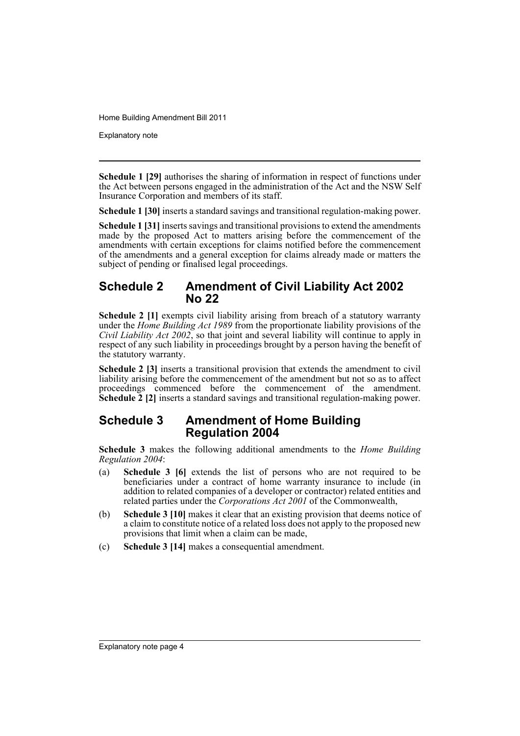Explanatory note

**Schedule 1 [29]** authorises the sharing of information in respect of functions under the Act between persons engaged in the administration of the Act and the NSW Self Insurance Corporation and members of its staff.

**Schedule 1 [30]** inserts a standard savings and transitional regulation-making power.

**Schedule 1 [31]** inserts savings and transitional provisions to extend the amendments made by the proposed Act to matters arising before the commencement of the amendments with certain exceptions for claims notified before the commencement of the amendments and a general exception for claims already made or matters the subject of pending or finalised legal proceedings.

### **Schedule 2 Amendment of Civil Liability Act 2002 No 22**

**Schedule 2 [1]** exempts civil liability arising from breach of a statutory warranty under the *Home Building Act 1989* from the proportionate liability provisions of the *Civil Liability Act 2002*, so that joint and several liability will continue to apply in respect of any such liability in proceedings brought by a person having the benefit of the statutory warranty.

**Schedule 2 [3]** inserts a transitional provision that extends the amendment to civil liability arising before the commencement of the amendment but not so as to affect proceedings commenced before the commencement of the amendment. **Schedule 2 [2]** inserts a standard savings and transitional regulation-making power.

## **Schedule 3 Amendment of Home Building Regulation 2004**

**Schedule 3** makes the following additional amendments to the *Home Building Regulation 2004*:

- (a) **Schedule 3 [6]** extends the list of persons who are not required to be beneficiaries under a contract of home warranty insurance to include (in addition to related companies of a developer or contractor) related entities and related parties under the *Corporations Act 2001* of the Commonwealth,
- (b) **Schedule 3 [10]** makes it clear that an existing provision that deems notice of a claim to constitute notice of a related loss does not apply to the proposed new provisions that limit when a claim can be made,
- (c) **Schedule 3 [14]** makes a consequential amendment.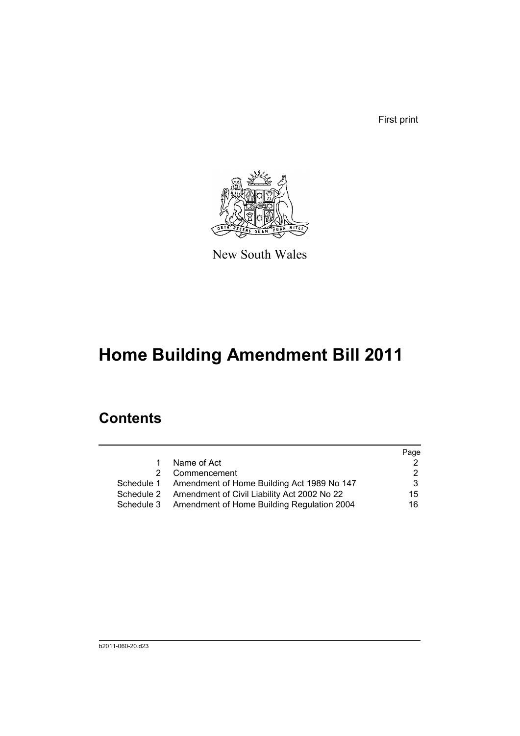First print



New South Wales

# **Home Building Amendment Bill 2011**

# **Contents**

|            |                                                       | Page |
|------------|-------------------------------------------------------|------|
| 1          | Name of Act                                           |      |
|            | 2 Commencement                                        |      |
|            | Schedule 1 Amendment of Home Building Act 1989 No 147 | 3    |
| Schedule 2 | Amendment of Civil Liability Act 2002 No 22           | 15   |
| Schedule 3 | Amendment of Home Building Regulation 2004            | 16   |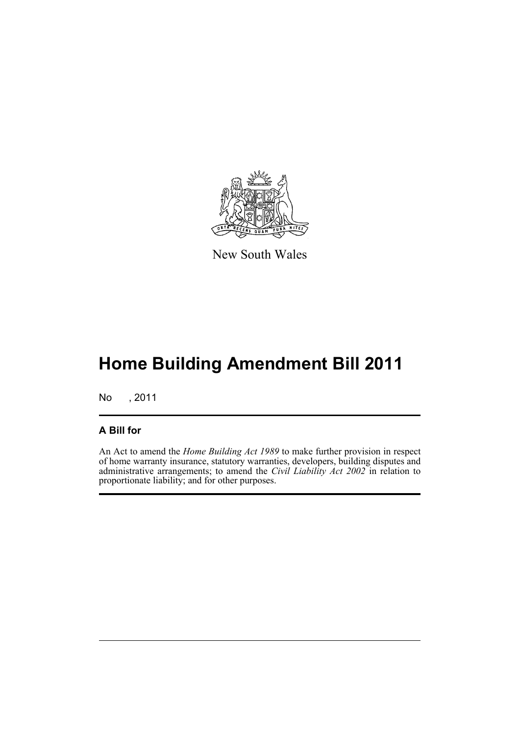

New South Wales

# **Home Building Amendment Bill 2011**

No , 2011

### **A Bill for**

An Act to amend the *Home Building Act 1989* to make further provision in respect of home warranty insurance, statutory warranties, developers, building disputes and administrative arrangements; to amend the *Civil Liability Act 2002* in relation to proportionate liability; and for other purposes.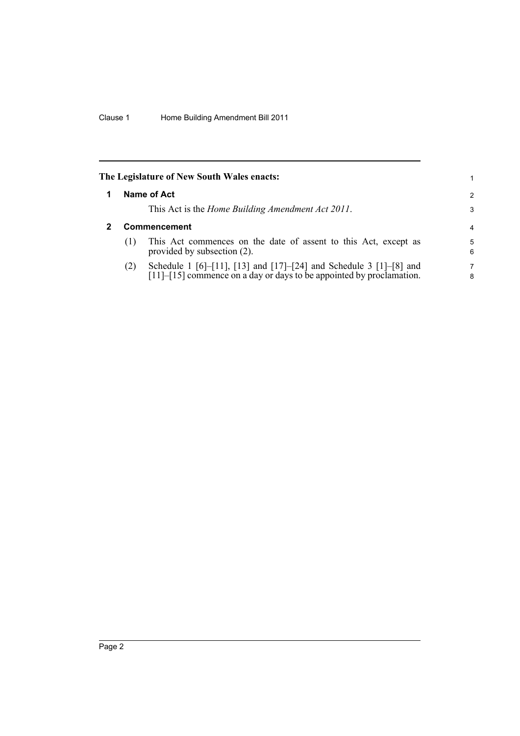<span id="page-7-1"></span><span id="page-7-0"></span>

| The Legislature of New South Wales enacts:<br>1. |                                                                                                                                            |               |  |  |
|--------------------------------------------------|--------------------------------------------------------------------------------------------------------------------------------------------|---------------|--|--|
|                                                  | Name of Act                                                                                                                                | $\mathcal{P}$ |  |  |
|                                                  | This Act is the <i>Home Building Amendment Act 2011</i> .                                                                                  | 3             |  |  |
|                                                  | <b>Commencement</b>                                                                                                                        | 4             |  |  |
| (1)                                              | This Act commences on the date of assent to this Act, except as<br>provided by subsection (2).                                             | 5<br>6        |  |  |
| (2)                                              | Schedule 1 [6]-[11], [13] and [17]-[24] and Schedule 3 [1]-[8] and<br>[11]–[15] commence on a day or days to be appointed by proclamation. | 7<br>8        |  |  |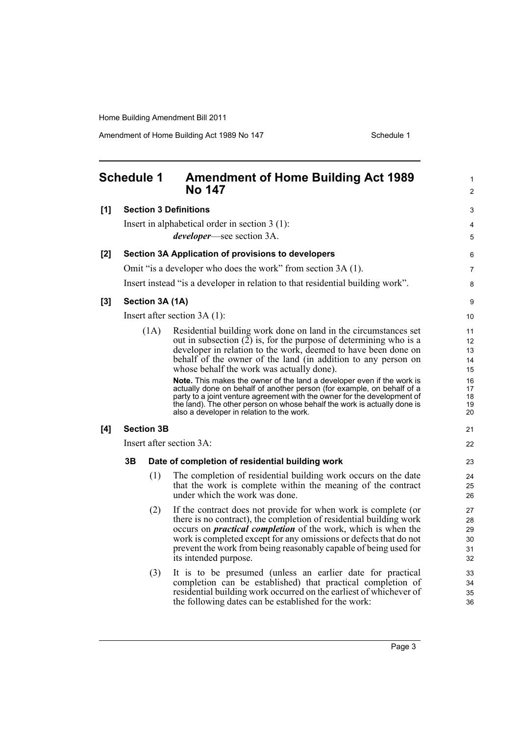Amendment of Home Building Act 1989 No 147 Schedule 1

<span id="page-8-0"></span>

|       | <b>Schedule 1</b> |                   | <b>Amendment of Home Building Act 1989</b><br><b>No 147</b>                                                                                                                                                                                                                                                                                                                                                                                                                                                                                                                                                                                                                     | 1<br>$\overline{c}$                                                     |
|-------|-------------------|-------------------|---------------------------------------------------------------------------------------------------------------------------------------------------------------------------------------------------------------------------------------------------------------------------------------------------------------------------------------------------------------------------------------------------------------------------------------------------------------------------------------------------------------------------------------------------------------------------------------------------------------------------------------------------------------------------------|-------------------------------------------------------------------------|
| [1]   |                   |                   | <b>Section 3 Definitions</b>                                                                                                                                                                                                                                                                                                                                                                                                                                                                                                                                                                                                                                                    | 3                                                                       |
|       |                   |                   | Insert in alphabetical order in section $3(1)$ :<br><i>developer</i> —see section 3A.                                                                                                                                                                                                                                                                                                                                                                                                                                                                                                                                                                                           | 4<br>5                                                                  |
| [2]   |                   |                   | Section 3A Application of provisions to developers                                                                                                                                                                                                                                                                                                                                                                                                                                                                                                                                                                                                                              | 6                                                                       |
|       |                   |                   | Omit "is a developer who does the work" from section 3A (1).                                                                                                                                                                                                                                                                                                                                                                                                                                                                                                                                                                                                                    | 7                                                                       |
|       |                   |                   | Insert instead "is a developer in relation to that residential building work".                                                                                                                                                                                                                                                                                                                                                                                                                                                                                                                                                                                                  | 8                                                                       |
| $[3]$ |                   |                   | Section 3A (1A)                                                                                                                                                                                                                                                                                                                                                                                                                                                                                                                                                                                                                                                                 | 9                                                                       |
|       |                   |                   | Insert after section $3A(1)$ :                                                                                                                                                                                                                                                                                                                                                                                                                                                                                                                                                                                                                                                  | 10                                                                      |
|       |                   | (1A)              | Residential building work done on land in the circumstances set<br>out in subsection $(2)$ is, for the purpose of determining who is a<br>developer in relation to the work, deemed to have been done on<br>behalf of the owner of the land (in addition to any person on<br>whose behalf the work was actually done).<br>Note. This makes the owner of the land a developer even if the work is<br>actually done on behalf of another person (for example, on behalf of a<br>party to a joint venture agreement with the owner for the development of<br>the land). The other person on whose behalf the work is actually done is<br>also a developer in relation to the work. | 11<br>$12 \overline{ }$<br>13<br>14<br>15<br>16<br>17<br>18<br>19<br>20 |
| [4]   |                   | <b>Section 3B</b> |                                                                                                                                                                                                                                                                                                                                                                                                                                                                                                                                                                                                                                                                                 | 21                                                                      |
|       |                   |                   | Insert after section 3A:                                                                                                                                                                                                                                                                                                                                                                                                                                                                                                                                                                                                                                                        | 22                                                                      |
|       | 3B                |                   | Date of completion of residential building work                                                                                                                                                                                                                                                                                                                                                                                                                                                                                                                                                                                                                                 | 23                                                                      |
|       |                   | (1)               | The completion of residential building work occurs on the date<br>that the work is complete within the meaning of the contract<br>under which the work was done.                                                                                                                                                                                                                                                                                                                                                                                                                                                                                                                | 24<br>25<br>26                                                          |
|       |                   | (2)               | If the contract does not provide for when work is complete (or<br>there is no contract), the completion of residential building work<br>occurs on <i>practical completion</i> of the work, which is when the<br>work is completed except for any omissions or defects that do not<br>prevent the work from being reasonably capable of being used for<br>its intended purpose.                                                                                                                                                                                                                                                                                                  | 27<br>28<br>29<br>30<br>31<br>32                                        |
|       |                   | (3)               | It is to be presumed (unless an earlier date for practical<br>completion can be established) that practical completion of<br>residential building work occurred on the earliest of whichever of<br>the following dates can be established for the work:                                                                                                                                                                                                                                                                                                                                                                                                                         | 33<br>34<br>35<br>36                                                    |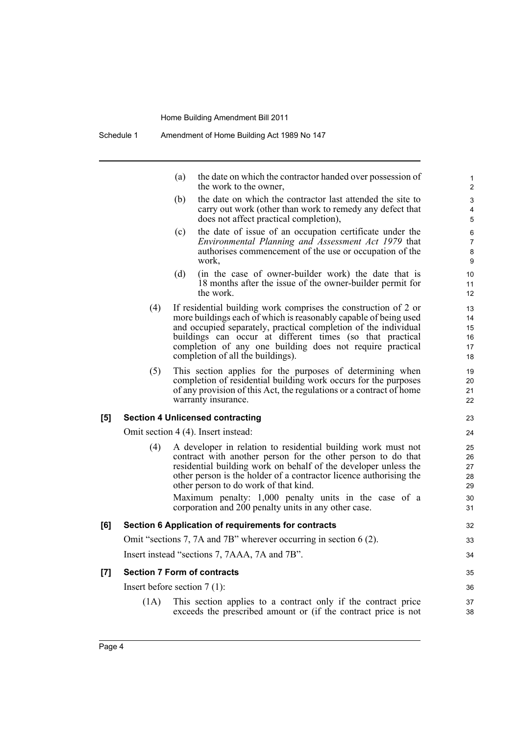(a) the date on which the contractor handed over possession of the work to the owner,

- (b) the date on which the contractor last attended the site to carry out work (other than work to remedy any defect that does not affect practical completion),
- (c) the date of issue of an occupation certificate under the *Environmental Planning and Assessment Act 1979* that authorises commencement of the use or occupation of the work,
- (d) (in the case of owner-builder work) the date that is 18 months after the issue of the owner-builder permit for the work.
- (4) If residential building work comprises the construction of 2 or more buildings each of which is reasonably capable of being used and occupied separately, practical completion of the individual buildings can occur at different times (so that practical completion of any one building does not require practical completion of all the buildings).
- (5) This section applies for the purposes of determining when completion of residential building work occurs for the purposes of any provision of this Act, the regulations or a contract of home warranty insurance.

#### **[5] Section 4 Unlicensed contracting**

Omit section 4 (4). Insert instead:

(4) A developer in relation to residential building work must not contract with another person for the other person to do that residential building work on behalf of the developer unless the other person is the holder of a contractor licence authorising the other person to do work of that kind.

Maximum penalty: 1,000 penalty units in the case of a corporation and 200 penalty units in any other case.

#### **[6] Section 6 Application of requirements for contracts**

Omit "sections 7, 7A and 7B" wherever occurring in section 6 (2).

Insert instead "sections 7, 7AAA, 7A and 7B".

#### **[7] Section 7 Form of contracts**

Insert before section 7 (1):

(1A) This section applies to a contract only if the contract price exceeds the prescribed amount or (if the contract price is not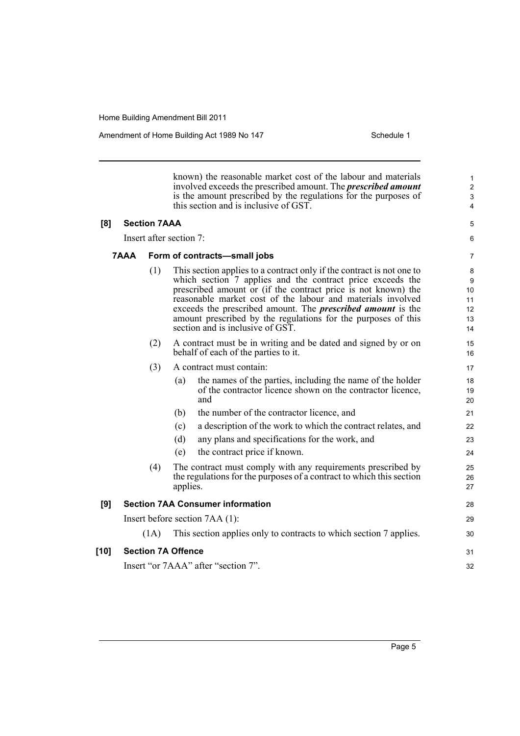Amendment of Home Building Act 1989 No 147 **Schedule 1** Schedule 1

known) the reasonable market cost of the labour and materials involved exceeds the prescribed amount. The *prescribed amount* is the amount prescribed by the regulations for the purposes of this section and is inclusive of GST. **[8] Section 7AAA** Insert after section 7: **7AAA Form of contracts—small jobs** (1) This section applies to a contract only if the contract is not one to which section 7 applies and the contract price exceeds the prescribed amount or (if the contract price is not known) the reasonable market cost of the labour and materials involved exceeds the prescribed amount. The *prescribed amount* is the amount prescribed by the regulations for the purposes of this section and is inclusive of GST. (2) A contract must be in writing and be dated and signed by or on behalf of each of the parties to it. (3) A contract must contain: (a) the names of the parties, including the name of the holder of the contractor licence shown on the contractor licence, and (b) the number of the contractor licence, and (c) a description of the work to which the contract relates, and (d) any plans and specifications for the work, and (e) the contract price if known. (4) The contract must comply with any requirements prescribed by the regulations for the purposes of a contract to which this section applies. **[9] Section 7AA Consumer information** Insert before section 7AA (1): (1A) This section applies only to contracts to which section 7 applies. **[10] Section 7A Offence** Insert "or 7AAA" after "section 7". 1 2 3 4 5 6 7 8 9 10 11 12 13 14 15 16 17 18 19 20 21 22 23 24  $25$ 26 27 28 29 30 31 32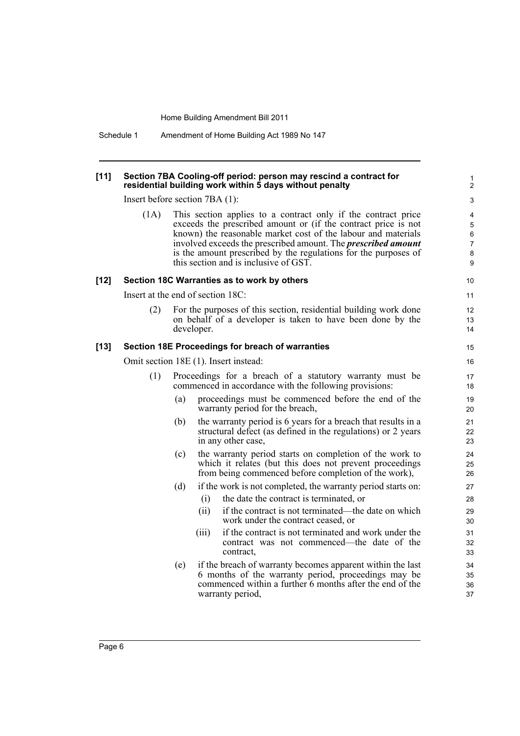Schedule 1 Amendment of Home Building Act 1989 No 147

#### **[11] Section 7BA Cooling-off period: person may rescind a contract for residential building work within 5 days without penalty**

Insert before section 7BA (1):

(1A) This section applies to a contract only if the contract price exceeds the prescribed amount or (if the contract price is not known) the reasonable market cost of the labour and materials involved exceeds the prescribed amount. The *prescribed amount* is the amount prescribed by the regulations for the purposes of this section and is inclusive of GST.

#### **[12] Section 18C Warranties as to work by others**

Insert at the end of section 18C:

(2) For the purposes of this section, residential building work done on behalf of a developer is taken to have been done by the developer.

#### **[13] Section 18E Proceedings for breach of warranties**

Omit section 18E (1). Insert instead:

- (1) Proceedings for a breach of a statutory warranty must be commenced in accordance with the following provisions:
	- (a) proceedings must be commenced before the end of the warranty period for the breach,
	- (b) the warranty period is 6 years for a breach that results in a structural defect (as defined in the regulations) or 2 years in any other case,
	- (c) the warranty period starts on completion of the work to which it relates (but this does not prevent proceedings from being commenced before completion of the work),
	- (d) if the work is not completed, the warranty period starts on:
		- (i) the date the contract is terminated, or
		- (ii) if the contract is not terminated—the date on which work under the contract ceased, or
		- (iii) if the contract is not terminated and work under the contract was not commenced—the date of the contract,
	- (e) if the breach of warranty becomes apparent within the last 6 months of the warranty period, proceedings may be commenced within a further 6 months after the end of the warranty period,

 $\overline{Q}$ 

10 11

> 12 13 14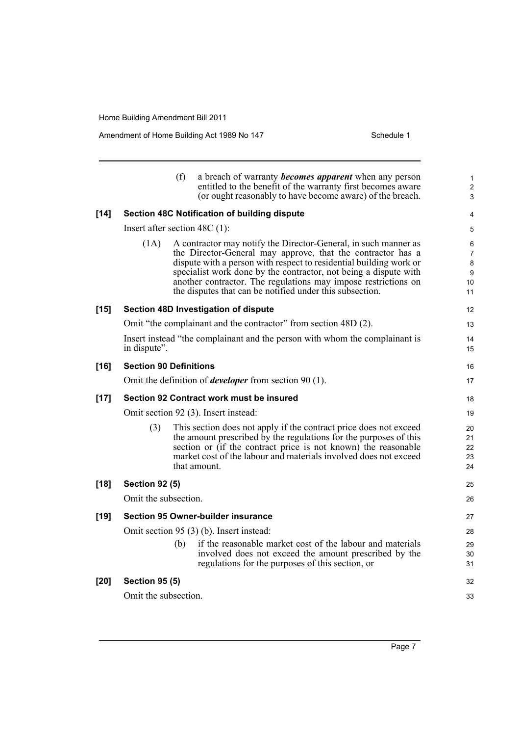Amendment of Home Building Act 1989 No 147 Schedule 1

|        |                                 | (f) | a breach of warranty <b>becomes</b> apparent when any person<br>entitled to the benefit of the warranty first becomes aware<br>(or ought reasonably to have become aware) of the breach.                                                                                                                                                                                                               | 1<br>$\overline{c}$<br>3                  |
|--------|---------------------------------|-----|--------------------------------------------------------------------------------------------------------------------------------------------------------------------------------------------------------------------------------------------------------------------------------------------------------------------------------------------------------------------------------------------------------|-------------------------------------------|
| $[14]$ |                                 |     | Section 48C Notification of building dispute                                                                                                                                                                                                                                                                                                                                                           | 4                                         |
|        | Insert after section $48C(1)$ : |     |                                                                                                                                                                                                                                                                                                                                                                                                        | 5                                         |
|        | (1A)                            |     | A contractor may notify the Director-General, in such manner as<br>the Director-General may approve, that the contractor has a<br>dispute with a person with respect to residential building work or<br>specialist work done by the contractor, not being a dispute with<br>another contractor. The regulations may impose restrictions on<br>the disputes that can be notified under this subsection. | 6<br>$\overline{7}$<br>8<br>9<br>10<br>11 |
| $[15]$ |                                 |     | Section 48D Investigation of dispute                                                                                                                                                                                                                                                                                                                                                                   | 12                                        |
|        |                                 |     | Omit "the complainant and the contractor" from section 48D (2).                                                                                                                                                                                                                                                                                                                                        | 13                                        |
|        | in dispute".                    |     | Insert instead "the complainant and the person with whom the complainant is                                                                                                                                                                                                                                                                                                                            | 14<br>15                                  |
| $[16]$ | <b>Section 90 Definitions</b>   |     |                                                                                                                                                                                                                                                                                                                                                                                                        | 16                                        |
|        |                                 |     | Omit the definition of <i>developer</i> from section 90 $(1)$ .                                                                                                                                                                                                                                                                                                                                        | 17                                        |
| $[17]$ |                                 |     | Section 92 Contract work must be insured                                                                                                                                                                                                                                                                                                                                                               | 18                                        |
|        |                                 |     | Omit section 92 (3). Insert instead:                                                                                                                                                                                                                                                                                                                                                                   | 19                                        |
|        | (3)                             |     | This section does not apply if the contract price does not exceed<br>the amount prescribed by the regulations for the purposes of this<br>section or (if the contract price is not known) the reasonable<br>market cost of the labour and materials involved does not exceed<br>that amount.                                                                                                           | 20<br>21<br>22<br>23<br>24                |
| $[18]$ | <b>Section 92 (5)</b>           |     |                                                                                                                                                                                                                                                                                                                                                                                                        | 25                                        |
|        | Omit the subsection.            |     |                                                                                                                                                                                                                                                                                                                                                                                                        | 26                                        |
| $[19]$ |                                 |     | <b>Section 95 Owner-builder insurance</b>                                                                                                                                                                                                                                                                                                                                                              | 27                                        |
|        |                                 |     | Omit section 95 (3) (b). Insert instead:                                                                                                                                                                                                                                                                                                                                                               | 28                                        |
|        |                                 | (b) | if the reasonable market cost of the labour and materials<br>involved does not exceed the amount prescribed by the<br>regulations for the purposes of this section, or                                                                                                                                                                                                                                 | 29<br>30<br>31                            |
| $[20]$ | <b>Section 95 (5)</b>           |     |                                                                                                                                                                                                                                                                                                                                                                                                        | 32                                        |
|        | Omit the subsection.            |     |                                                                                                                                                                                                                                                                                                                                                                                                        | 33                                        |
|        |                                 |     |                                                                                                                                                                                                                                                                                                                                                                                                        |                                           |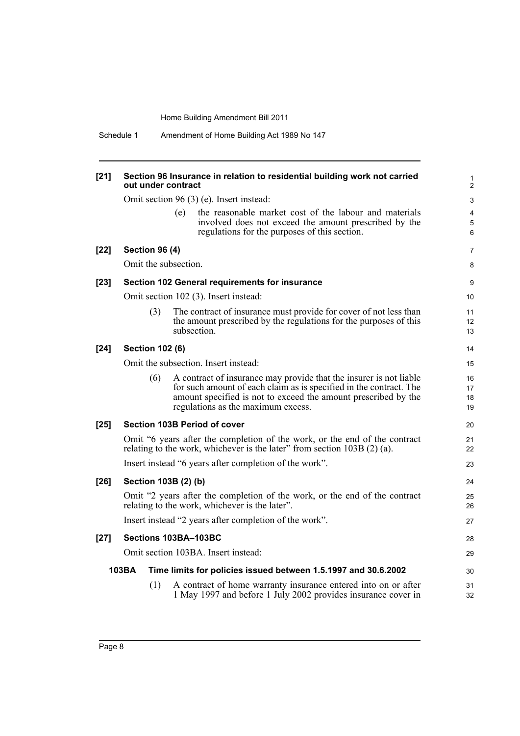| $[21]$ | Section 96 Insurance in relation to residential building work not carried<br>out under contract                                                              |                                                                                                                                                                                                                                                  |                      |
|--------|--------------------------------------------------------------------------------------------------------------------------------------------------------------|--------------------------------------------------------------------------------------------------------------------------------------------------------------------------------------------------------------------------------------------------|----------------------|
|        | Omit section 96 (3) (e). Insert instead:                                                                                                                     |                                                                                                                                                                                                                                                  | 3                    |
|        |                                                                                                                                                              | the reasonable market cost of the labour and materials<br>(e)<br>involved does not exceed the amount prescribed by the<br>regulations for the purposes of this section.                                                                          | 4<br>5<br>6          |
| $[22]$ | <b>Section 96 (4)</b>                                                                                                                                        |                                                                                                                                                                                                                                                  | $\overline{7}$       |
|        | Omit the subsection.                                                                                                                                         |                                                                                                                                                                                                                                                  | 8                    |
| $[23]$ | Section 102 General requirements for insurance                                                                                                               |                                                                                                                                                                                                                                                  | 9                    |
|        |                                                                                                                                                              | Omit section 102 (3). Insert instead:                                                                                                                                                                                                            | 10                   |
|        | The contract of insurance must provide for cover of not less than<br>(3)<br>the amount prescribed by the regulations for the purposes of this<br>subsection. |                                                                                                                                                                                                                                                  | 11<br>12<br>13       |
| $[24]$ | <b>Section 102 (6)</b>                                                                                                                                       |                                                                                                                                                                                                                                                  | 14                   |
|        |                                                                                                                                                              | Omit the subsection. Insert instead:                                                                                                                                                                                                             | 15                   |
|        | (6)                                                                                                                                                          | A contract of insurance may provide that the insurer is not liable<br>for such amount of each claim as is specified in the contract. The<br>amount specified is not to exceed the amount prescribed by the<br>regulations as the maximum excess. | 16<br>17<br>18<br>19 |
| $[25]$ |                                                                                                                                                              | Section 103B Period of cover                                                                                                                                                                                                                     | 20                   |
|        |                                                                                                                                                              | Omit "6 years after the completion of the work, or the end of the contract<br>relating to the work, whichever is the later" from section $103B(2)(a)$ .                                                                                          | 21<br>22             |
|        |                                                                                                                                                              | Insert instead "6 years after completion of the work".                                                                                                                                                                                           | 23                   |
| $[26]$ |                                                                                                                                                              | Section 103B (2) (b)                                                                                                                                                                                                                             | 24                   |
|        |                                                                                                                                                              | Omit "2 years after the completion of the work, or the end of the contract<br>relating to the work, whichever is the later".                                                                                                                     | 25<br>26             |
|        |                                                                                                                                                              | Insert instead "2 years after completion of the work".                                                                                                                                                                                           | 27                   |
| $[27]$ |                                                                                                                                                              | Sections 103BA-103BC                                                                                                                                                                                                                             | 28                   |
|        |                                                                                                                                                              | Omit section 103BA. Insert instead:                                                                                                                                                                                                              | 29                   |
|        | 103BA                                                                                                                                                        | Time limits for policies issued between 1.5.1997 and 30.6.2002                                                                                                                                                                                   | 30                   |
|        | (1)                                                                                                                                                          | A contract of home warranty insurance entered into on or after<br>1 May 1997 and before 1 July 2002 provides insurance cover in                                                                                                                  | 31<br>32             |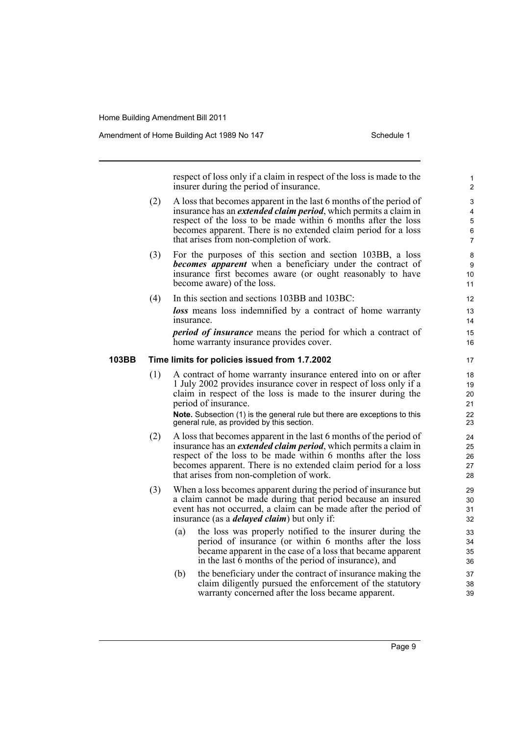Amendment of Home Building Act 1989 No 147 **Schedule 1** Schedule 1

respect of loss only if a claim in respect of the loss is made to the insurer during the period of insurance.

- (2) A loss that becomes apparent in the last 6 months of the period of insurance has an *extended claim period*, which permits a claim in respect of the loss to be made within 6 months after the loss becomes apparent. There is no extended claim period for a loss that arises from non-completion of work.
- (3) For the purposes of this section and section 103BB, a loss *becomes apparent* when a beneficiary under the contract of insurance first becomes aware (or ought reasonably to have become aware) of the loss.
- (4) In this section and sections 103BB and 103BC: *loss* means loss indemnified by a contract of home warranty insurance.

*period of insurance* means the period for which a contract of home warranty insurance provides cover.

#### **103BB Time limits for policies issued from 1.7.2002**

(1) A contract of home warranty insurance entered into on or after 1 July 2002 provides insurance cover in respect of loss only if a claim in respect of the loss is made to the insurer during the period of insurance.

**Note.** Subsection (1) is the general rule but there are exceptions to this general rule, as provided by this section.

- (2) A loss that becomes apparent in the last 6 months of the period of insurance has an *extended claim period*, which permits a claim in respect of the loss to be made within 6 months after the loss becomes apparent. There is no extended claim period for a loss that arises from non-completion of work.
- (3) When a loss becomes apparent during the period of insurance but a claim cannot be made during that period because an insured event has not occurred, a claim can be made after the period of insurance (as a *delayed claim*) but only if:
	- (a) the loss was properly notified to the insurer during the period of insurance (or within 6 months after the loss became apparent in the case of a loss that became apparent in the last 6 months of the period of insurance), and
	- (b) the beneficiary under the contract of insurance making the claim diligently pursued the enforcement of the statutory warranty concerned after the loss became apparent.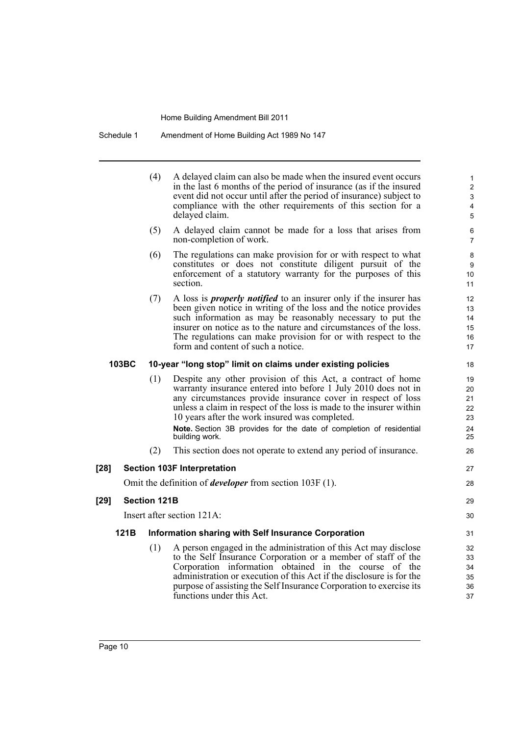Schedule 1 Amendment of Home Building Act 1989 No 147

(4) A delayed claim can also be made when the insured event occurs in the last 6 months of the period of insurance (as if the insured event did not occur until after the period of insurance) subject to compliance with the other requirements of this section for a delayed claim. (5) A delayed claim cannot be made for a loss that arises from non-completion of work. (6) The regulations can make provision for or with respect to what constitutes or does not constitute diligent pursuit of the enforcement of a statutory warranty for the purposes of this section. (7) A loss is *properly notified* to an insurer only if the insurer has been given notice in writing of the loss and the notice provides such information as may be reasonably necessary to put the insurer on notice as to the nature and circumstances of the loss. The regulations can make provision for or with respect to the form and content of such a notice. **103BC 10-year "long stop" limit on claims under existing policies** (1) Despite any other provision of this Act, a contract of home warranty insurance entered into before 1 July 2010 does not in any circumstances provide insurance cover in respect of loss unless a claim in respect of the loss is made to the insurer within 10 years after the work insured was completed. **Note.** Section 3B provides for the date of completion of residential building work. (2) This section does not operate to extend any period of insurance. **[28] Section 103F Interpretation** Omit the definition of *developer* from section 103F (1). **[29] Section 121B** Insert after section 121A: **121B Information sharing with Self Insurance Corporation** (1) A person engaged in the administration of this Act may disclose to the Self Insurance Corporation or a member of staff of the Corporation information obtained in the course of the administration or execution of this Act if the disclosure is for the purpose of assisting the Self Insurance Corporation to exercise its functions under this Act. 1 2 3 4 5 6 7 8 9 10 11 12 13 14 15 16 17 18 19  $20$ 21 22 23 24 25 26 27 28 29 30 31 32 33 34 35 36 37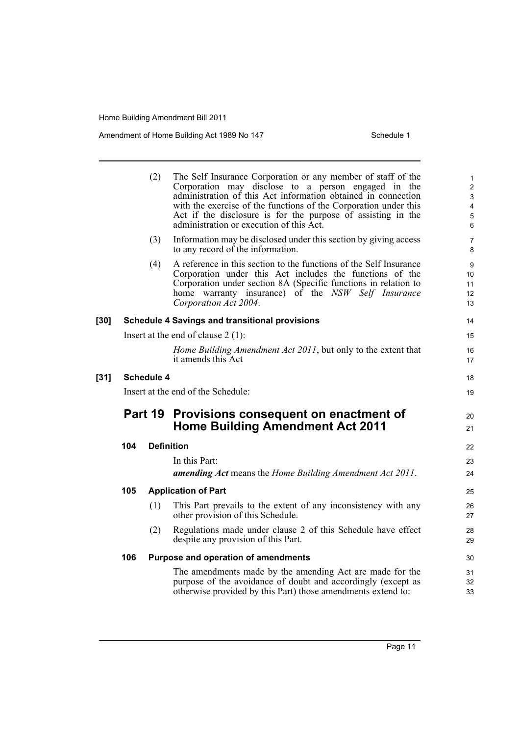Amendment of Home Building Act 1989 No 147 Schedule 1

|        | (2)     |                   | The Self Insurance Corporation or any member of staff of the<br>Corporation may disclose to a person engaged in the<br>administration of this Act information obtained in connection<br>with the exercise of the functions of the Corporation under this<br>Act if the disclosure is for the purpose of assisting in the<br>administration or execution of this Act. | 1<br>$\overline{2}$<br>$\ensuremath{\mathsf{3}}$<br>$\overline{\mathbf{4}}$<br>$\overline{5}$<br>6 |
|--------|---------|-------------------|----------------------------------------------------------------------------------------------------------------------------------------------------------------------------------------------------------------------------------------------------------------------------------------------------------------------------------------------------------------------|----------------------------------------------------------------------------------------------------|
|        |         | (3)               | Information may be disclosed under this section by giving access<br>to any record of the information.                                                                                                                                                                                                                                                                | 7<br>8                                                                                             |
|        |         | (4)               | A reference in this section to the functions of the Self Insurance<br>Corporation under this Act includes the functions of the<br>Corporation under section 8A (Specific functions in relation to<br>home warranty insurance) of the NSW Self Insurance<br>Corporation Act 2004.                                                                                     | 9<br>10<br>11<br>12<br>13                                                                          |
| $[30]$ |         |                   | <b>Schedule 4 Savings and transitional provisions</b>                                                                                                                                                                                                                                                                                                                | 14                                                                                                 |
|        |         |                   | Insert at the end of clause $2(1)$ :                                                                                                                                                                                                                                                                                                                                 | 15                                                                                                 |
|        |         |                   | Home Building Amendment Act 2011, but only to the extent that<br>it amends this Act                                                                                                                                                                                                                                                                                  | 16<br>17                                                                                           |
| $[31]$ |         | <b>Schedule 4</b> |                                                                                                                                                                                                                                                                                                                                                                      | 18                                                                                                 |
|        |         |                   | Insert at the end of the Schedule:                                                                                                                                                                                                                                                                                                                                   | 19                                                                                                 |
|        | Part 19 |                   | Provisions consequent on enactment of<br><b>Home Building Amendment Act 2011</b>                                                                                                                                                                                                                                                                                     | 20<br>21                                                                                           |
|        | 104     | <b>Definition</b> |                                                                                                                                                                                                                                                                                                                                                                      | 22                                                                                                 |
|        |         |                   | In this Part:<br><b>amending Act</b> means the Home Building Amendment Act 2011.                                                                                                                                                                                                                                                                                     | 23<br>24                                                                                           |
|        | 105     |                   | <b>Application of Part</b>                                                                                                                                                                                                                                                                                                                                           | 25                                                                                                 |
|        |         |                   |                                                                                                                                                                                                                                                                                                                                                                      |                                                                                                    |
|        |         | (1)               | This Part prevails to the extent of any inconsistency with any<br>other provision of this Schedule.                                                                                                                                                                                                                                                                  | 26<br>27                                                                                           |
|        |         | (2)               | Regulations made under clause 2 of this Schedule have effect<br>despite any provision of this Part.                                                                                                                                                                                                                                                                  | 28<br>29                                                                                           |
|        | 106     |                   | Purpose and operation of amendments                                                                                                                                                                                                                                                                                                                                  | 30                                                                                                 |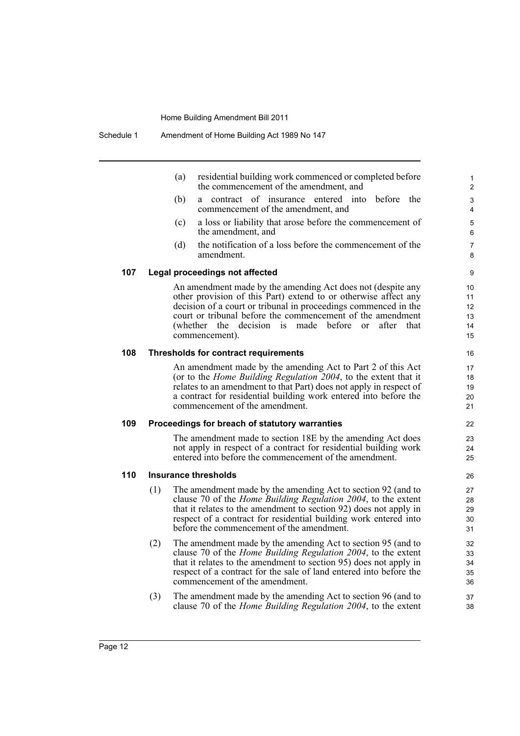(a) residential building work commenced or completed before the commencement of the amendment, and

- (b) a contract of insurance entered into before the commencement of the amendment, and
- (c) a loss or liability that arose before the commencement of the amendment, and
- (d) the notification of a loss before the commencement of the amendment.

#### **107 Legal proceedings not affected**

An amendment made by the amending Act does not (despite any other provision of this Part) extend to or otherwise affect any decision of a court or tribunal in proceedings commenced in the court or tribunal before the commencement of the amendment (whether the decision is made before or after that commencement).

#### **108 Thresholds for contract requirements**

An amendment made by the amending Act to Part 2 of this Act (or to the *Home Building Regulation 2004*, to the extent that it relates to an amendment to that Part) does not apply in respect of a contract for residential building work entered into before the commencement of the amendment.

#### **109 Proceedings for breach of statutory warranties**

The amendment made to section 18E by the amending Act does not apply in respect of a contract for residential building work entered into before the commencement of the amendment.

#### **110 Insurance thresholds**

- (1) The amendment made by the amending Act to section 92 (and to clause 70 of the *Home Building Regulation 2004*, to the extent that it relates to the amendment to section 92) does not apply in respect of a contract for residential building work entered into before the commencement of the amendment.
- (2) The amendment made by the amending Act to section 95 (and to clause 70 of the *Home Building Regulation 2004*, to the extent that it relates to the amendment to section 95) does not apply in respect of a contract for the sale of land entered into before the commencement of the amendment.
- (3) The amendment made by the amending Act to section 96 (and to clause 70 of the *Home Building Regulation 2004*, to the extent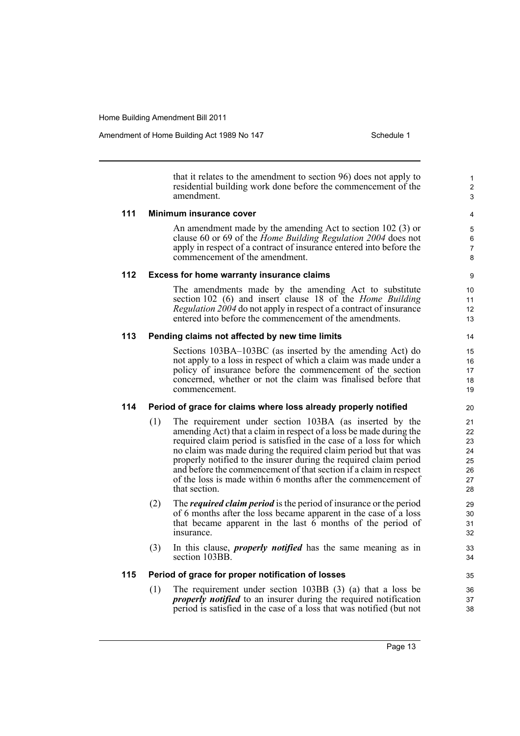Amendment of Home Building Act 1989 No 147 Schedule 1

1 2 3

that it relates to the amendment to section 96) does not apply to residential building work done before the commencement of the amendment.

#### **111 Minimum insurance cover**

An amendment made by the amending Act to section 102 (3) or clause 60 or 69 of the *Home Building Regulation 2004* does not apply in respect of a contract of insurance entered into before the commencement of the amendment.

#### **112 Excess for home warranty insurance claims**

The amendments made by the amending Act to substitute section 102 (6) and insert clause 18 of the *Home Building Regulation 2004* do not apply in respect of a contract of insurance entered into before the commencement of the amendments.

#### **113 Pending claims not affected by new time limits**

Sections 103BA–103BC (as inserted by the amending Act) do not apply to a loss in respect of which a claim was made under a policy of insurance before the commencement of the section concerned, whether or not the claim was finalised before that commencement.

#### **114 Period of grace for claims where loss already properly notified**

- (1) The requirement under section 103BA (as inserted by the amending Act) that a claim in respect of a loss be made during the required claim period is satisfied in the case of a loss for which no claim was made during the required claim period but that was properly notified to the insurer during the required claim period and before the commencement of that section if a claim in respect of the loss is made within 6 months after the commencement of that section.
- (2) The *required claim period* is the period of insurance or the period of 6 months after the loss became apparent in the case of a loss that became apparent in the last  $6$  months of the period of insurance.
- (3) In this clause, *properly notified* has the same meaning as in section 103BB.

#### **115 Period of grace for proper notification of losses**

(1) The requirement under section 103BB (3) (a) that a loss be *properly notified* to an insurer during the required notification period is satisfied in the case of a loss that was notified (but not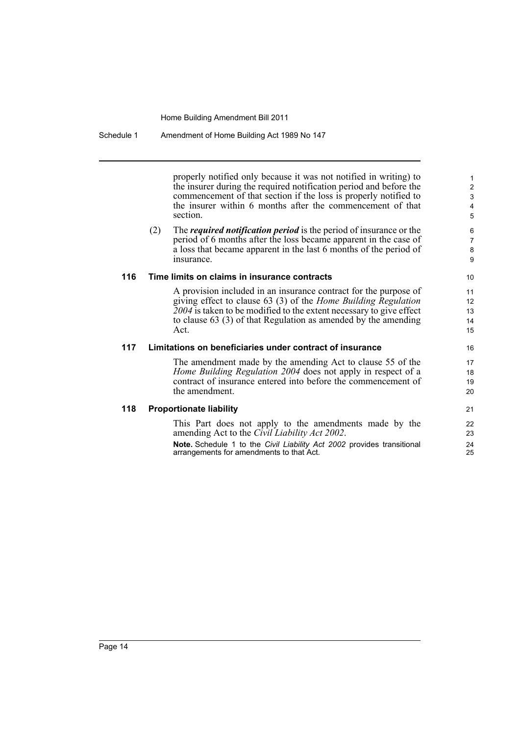#### Schedule 1 Amendment of Home Building Act 1989 No 147

properly notified only because it was not notified in writing) to the insurer during the required notification period and before the commencement of that section if the loss is properly notified to the insurer within 6 months after the commencement of that section.

(2) The *required notification period* is the period of insurance or the period of 6 months after the loss became apparent in the case of a loss that became apparent in the last 6 months of the period of insurance.

#### **116 Time limits on claims in insurance contracts**

A provision included in an insurance contract for the purpose of giving effect to clause 63 (3) of the *Home Building Regulation 2004* is taken to be modified to the extent necessary to give effect to clause 63 (3) of that Regulation as amended by the amending Act.

#### **117 Limitations on beneficiaries under contract of insurance**

The amendment made by the amending Act to clause 55 of the *Home Building Regulation 2004* does not apply in respect of a contract of insurance entered into before the commencement of the amendment.

#### **118 Proportionate liability**

This Part does not apply to the amendments made by the amending Act to the *Civil Liability Act 2002*.

**Note.** Schedule 1 to the *Civil Liability Act 2002* provides transitional arrangements for amendments to that Act.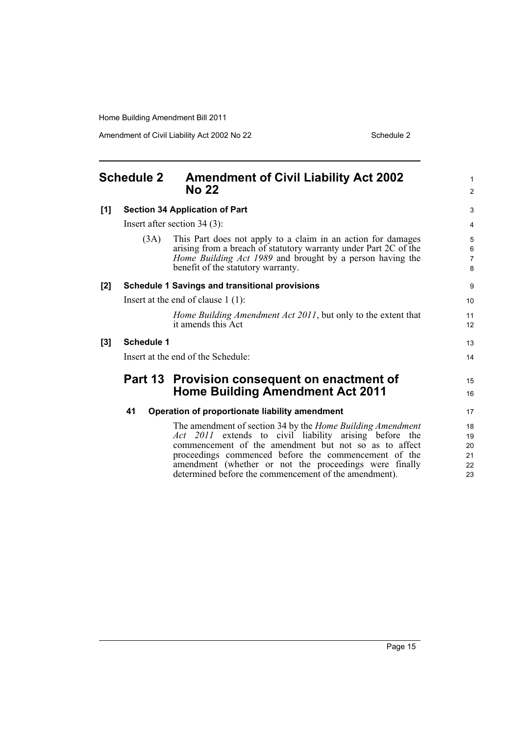Amendment of Civil Liability Act 2002 No 22 Schedule 2

<span id="page-20-0"></span>

| <b>Schedule 2</b> |                   | <b>Amendment of Civil Liability Act 2002</b><br><b>No 22</b>                                                                                                                                                                               |                                     |
|-------------------|-------------------|--------------------------------------------------------------------------------------------------------------------------------------------------------------------------------------------------------------------------------------------|-------------------------------------|
|                   |                   |                                                                                                                                                                                                                                            | $\overline{2}$                      |
| [1]               |                   | <b>Section 34 Application of Part</b>                                                                                                                                                                                                      | 3                                   |
|                   |                   | Insert after section $34(3)$ :                                                                                                                                                                                                             | 4                                   |
|                   | (3A)              | This Part does not apply to a claim in an action for damages<br>arising from a breach of statutory warranty under Part 2C of the<br><i>Home Building Act 1989</i> and brought by a person having the<br>benefit of the statutory warranty. | 5<br>$\,6\,$<br>$\overline{7}$<br>8 |
| [2]               |                   | <b>Schedule 1 Savings and transitional provisions</b>                                                                                                                                                                                      | 9                                   |
|                   |                   | Insert at the end of clause $1(1)$ :                                                                                                                                                                                                       | 10                                  |
|                   |                   | Home Building Amendment Act 2011, but only to the extent that<br>it amends this Act                                                                                                                                                        | 11<br>12                            |
| [3]               | <b>Schedule 1</b> |                                                                                                                                                                                                                                            | 13                                  |
|                   |                   | Insert at the end of the Schedule:                                                                                                                                                                                                         | 14                                  |
|                   |                   | Part 13 Provision consequent on enactment of                                                                                                                                                                                               | 15                                  |
|                   |                   | <b>Home Building Amendment Act 2011</b>                                                                                                                                                                                                    | 16                                  |
|                   | 41                | Operation of proportionate liability amendment                                                                                                                                                                                             | 17                                  |
|                   |                   | The amendment of section 34 by the <i>Home Building Amendment</i>                                                                                                                                                                          | 18                                  |
|                   |                   | Act 2011 extends to civil liability arising before the                                                                                                                                                                                     | 19                                  |
|                   |                   | commencement of the amendment but not so as to affect                                                                                                                                                                                      | 20                                  |
|                   |                   | proceedings commenced before the commencement of the                                                                                                                                                                                       | 21                                  |
|                   |                   | amendment (whether or not the proceedings were finally                                                                                                                                                                                     | 22                                  |
|                   |                   | determined before the commencement of the amendment).                                                                                                                                                                                      | 23                                  |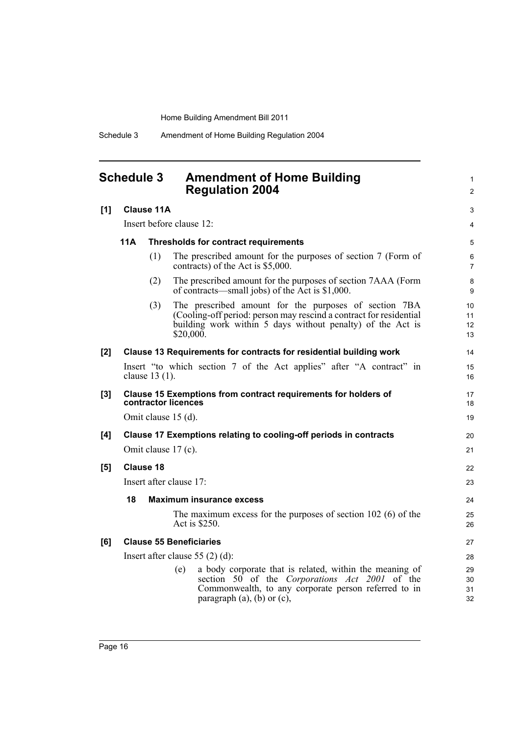Schedule 3 Amendment of Home Building Regulation 2004

### <span id="page-21-0"></span>**Schedule 3 Amendment of Home Building Regulation 2004**

| [1] | <b>Clause 11A</b>                                         |                  |                                                                                                                                                                                                                | 3                                 |
|-----|-----------------------------------------------------------|------------------|----------------------------------------------------------------------------------------------------------------------------------------------------------------------------------------------------------------|-----------------------------------|
|     | Insert before clause 12:                                  |                  |                                                                                                                                                                                                                | 4                                 |
|     | <b>11A</b><br><b>Thresholds for contract requirements</b> |                  |                                                                                                                                                                                                                | 5                                 |
|     |                                                           | (1)              | The prescribed amount for the purposes of section 7 (Form of<br>contracts) of the Act is \$5,000.                                                                                                              | 6<br>$\overline{7}$               |
|     |                                                           | (2)              | The prescribed amount for the purposes of section 7AAA (Form<br>of contracts—small jobs) of the Act is \$1,000.                                                                                                | 8<br>9                            |
|     |                                                           | (3)              | The prescribed amount for the purposes of section 7BA<br>(Cooling-off period: person may rescind a contract for residential<br>building work within 5 days without penalty) of the Act is<br>\$20,000.         | 10<br>11<br>12 <sup>2</sup><br>13 |
| [2] |                                                           |                  | Clause 13 Requirements for contracts for residential building work                                                                                                                                             | 14                                |
|     |                                                           | clause 13 (1).   | Insert "to which section 7 of the Act applies" after "A contract" in                                                                                                                                           | 15<br>16                          |
| [3] |                                                           |                  | Clause 15 Exemptions from contract requirements for holders of<br>contractor licences                                                                                                                          | 17<br>18                          |
|     |                                                           |                  | Omit clause 15 (d).                                                                                                                                                                                            | 19                                |
| [4] |                                                           |                  | Clause 17 Exemptions relating to cooling-off periods in contracts                                                                                                                                              | 20                                |
|     |                                                           |                  | Omit clause 17 (c).                                                                                                                                                                                            | 21                                |
| [5] |                                                           | <b>Clause 18</b> |                                                                                                                                                                                                                | 22                                |
|     |                                                           |                  | Insert after clause 17:                                                                                                                                                                                        | 23                                |
|     | 18                                                        |                  | <b>Maximum insurance excess</b>                                                                                                                                                                                | 24                                |
|     |                                                           |                  | The maximum excess for the purposes of section $102$ (6) of the<br>Act is \$250.                                                                                                                               | 25<br>26                          |
| [6] |                                                           |                  | <b>Clause 55 Beneficiaries</b>                                                                                                                                                                                 | 27                                |
|     |                                                           |                  | Insert after clause $55(2)(d)$ :                                                                                                                                                                               | 28                                |
|     |                                                           |                  | a body corporate that is related, within the meaning of<br>(e)<br>section 50 of the Corporations Act 2001 of the<br>Commonwealth, to any corporate person referred to in<br>paragraph $(a)$ , $(b)$ or $(c)$ , | 29<br>30<br>31<br>32              |

1 2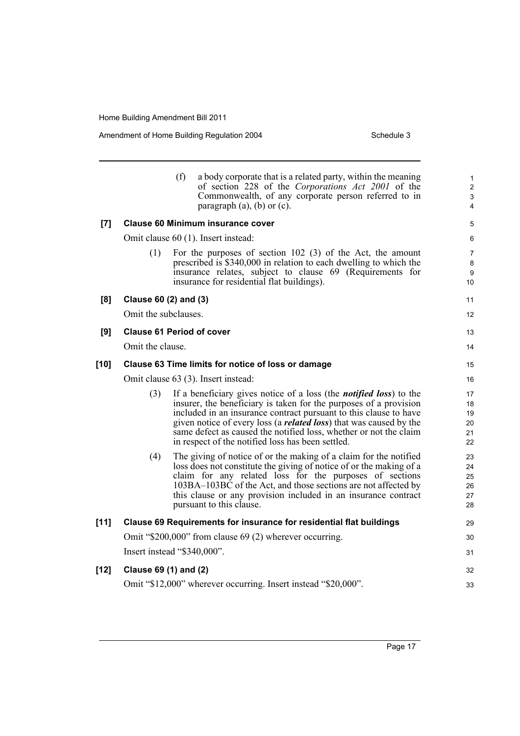Amendment of Home Building Regulation 2004 Schedule 3

|        |                       | (f)<br>a body corporate that is a related party, within the meaning<br>of section 228 of the Corporations Act 2001 of the<br>Commonwealth, of any corporate person referred to in<br>paragraph $(a)$ , $(b)$ or $(c)$ .                                                                                                                                                                                                      | $\mathbf{1}$<br>$\overline{2}$<br>$\mathfrak{S}$<br>$\overline{4}$ |
|--------|-----------------------|------------------------------------------------------------------------------------------------------------------------------------------------------------------------------------------------------------------------------------------------------------------------------------------------------------------------------------------------------------------------------------------------------------------------------|--------------------------------------------------------------------|
| [7]    |                       | <b>Clause 60 Minimum insurance cover</b>                                                                                                                                                                                                                                                                                                                                                                                     | $\mathbf 5$                                                        |
|        |                       | Omit clause 60 (1). Insert instead:                                                                                                                                                                                                                                                                                                                                                                                          | 6                                                                  |
|        | (1)                   | For the purposes of section $102$ (3) of the Act, the amount<br>prescribed is \$340,000 in relation to each dwelling to which the<br>insurance relates, subject to clause 69 (Requirements for<br>insurance for residential flat buildings).                                                                                                                                                                                 | $\overline{7}$<br>8<br>9<br>10                                     |
| [8]    | Clause 60 (2) and (3) |                                                                                                                                                                                                                                                                                                                                                                                                                              | 11                                                                 |
|        | Omit the subclauses.  |                                                                                                                                                                                                                                                                                                                                                                                                                              | 12                                                                 |
| [9]    |                       | <b>Clause 61 Period of cover</b>                                                                                                                                                                                                                                                                                                                                                                                             | 13                                                                 |
|        | Omit the clause.      |                                                                                                                                                                                                                                                                                                                                                                                                                              | 14                                                                 |
| [10]   |                       | Clause 63 Time limits for notice of loss or damage                                                                                                                                                                                                                                                                                                                                                                           | 15                                                                 |
|        |                       | Omit clause 63 (3). Insert instead:                                                                                                                                                                                                                                                                                                                                                                                          | 16                                                                 |
|        | (3)                   | If a beneficiary gives notice of a loss (the <i>notified loss</i> ) to the<br>insurer, the beneficiary is taken for the purposes of a provision<br>included in an insurance contract pursuant to this clause to have<br>given notice of every loss (a <i>related loss</i> ) that was caused by the<br>same defect as caused the notified loss, whether or not the claim<br>in respect of the notified loss has been settled. | 17<br>18<br>19<br>20<br>21<br>22                                   |
|        | (4)                   | The giving of notice of or the making of a claim for the notified<br>loss does not constitute the giving of notice of or the making of a<br>claim for any related loss for the purposes of sections<br>103BA-103BC of the Act, and those sections are not affected by<br>this clause or any provision included in an insurance contract<br>pursuant to this clause.                                                          | 23<br>24<br>25<br>26<br>27<br>28                                   |
| $[11]$ |                       | Clause 69 Requirements for insurance for residential flat buildings                                                                                                                                                                                                                                                                                                                                                          | 29                                                                 |
|        |                       | Omit "\$200,000" from clause 69 (2) wherever occurring.                                                                                                                                                                                                                                                                                                                                                                      | 30                                                                 |
|        |                       | Insert instead "\$340,000".                                                                                                                                                                                                                                                                                                                                                                                                  | 31                                                                 |
| [12]   | Clause 69 (1) and (2) |                                                                                                                                                                                                                                                                                                                                                                                                                              | 32                                                                 |
|        |                       | Omit "\$12,000" wherever occurring. Insert instead "\$20,000".                                                                                                                                                                                                                                                                                                                                                               | 33                                                                 |